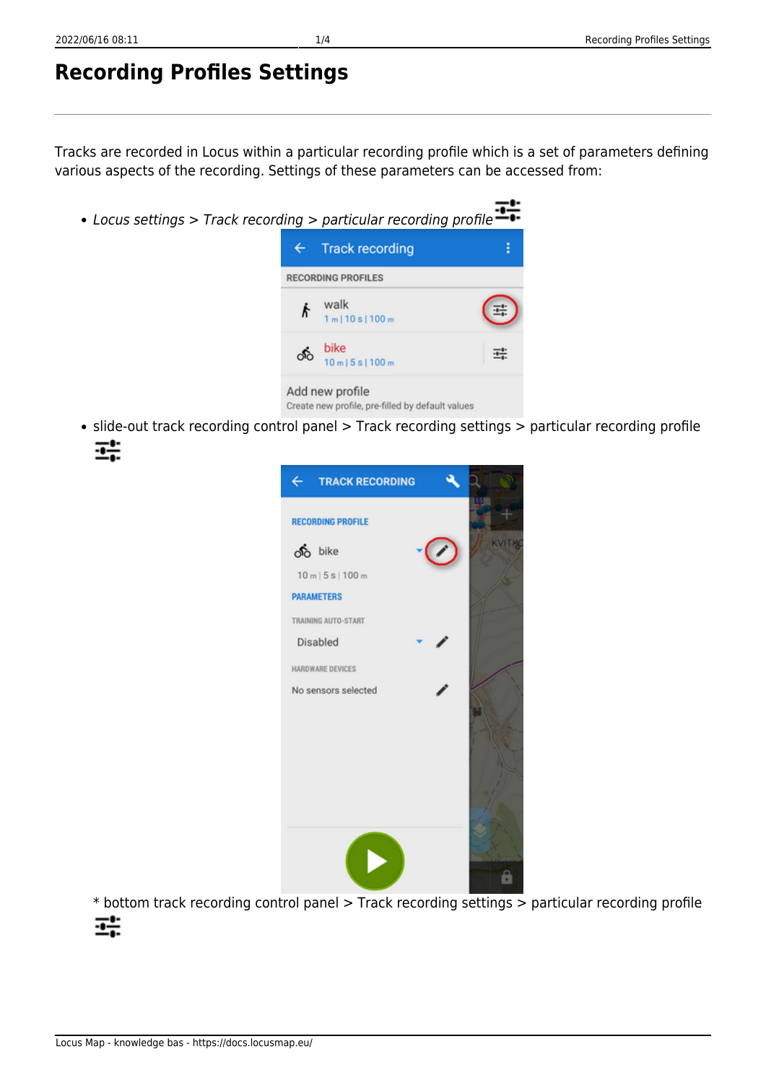# **Recording Profiles Settings**

Tracks are recorded in Locus within a particular recording profile which is a set of parameters defining various aspects of the recording. Settings of these parameters can be accessed from:

- Locus settings > Track recording > particular recording profile **Track recording**  $\overline{\leftarrow}$ **RECORDING PROFILES** walk R  $1 m 10 s 1100 m$ hike 珪 ഷീ  $10 m15 s1100 m$ Add new profile Create new profile, pre-filled by default values
- slide-out track recording control panel > Track recording settings > particular recording profile 瞎



\* bottom track recording control panel > Track recording settings > particular recording profileæ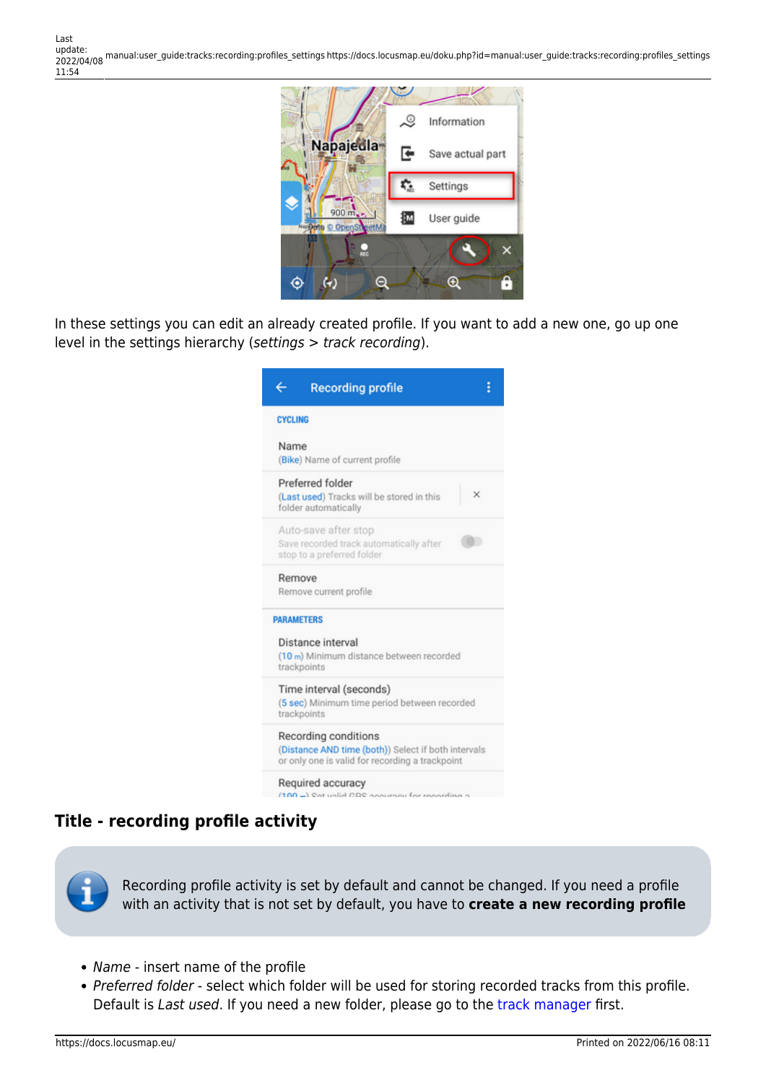

In these settings you can edit an already created profile. If you want to add a new one, go up one level in the settings hierarchy (settings > track recording).

| (Bike) Name of current profile<br>Preferred folder<br>×<br>(Last used) Tracks will be stored in this<br>folder automatically<br>Auto-save after stop<br>Save recorded track automatically after<br>stop to a preferred folder<br>Remove<br>Remove current profile<br><b>PARAMETERS</b><br>Distance interval<br>(10 m) Minimum distance between recorded<br>trackpoints<br>Time interval (seconds)<br>(5 sec) Minimum time period between recorded<br>trackpoints<br>Recording conditions<br>(Distance AND time (both)) Select if both intervals<br>or only one is valid for recording a trackpoint<br>Required accuracy | ←              | <b>Recording profile</b> |
|-------------------------------------------------------------------------------------------------------------------------------------------------------------------------------------------------------------------------------------------------------------------------------------------------------------------------------------------------------------------------------------------------------------------------------------------------------------------------------------------------------------------------------------------------------------------------------------------------------------------------|----------------|--------------------------|
|                                                                                                                                                                                                                                                                                                                                                                                                                                                                                                                                                                                                                         | <b>CYCLING</b> |                          |
|                                                                                                                                                                                                                                                                                                                                                                                                                                                                                                                                                                                                                         | Name           |                          |
|                                                                                                                                                                                                                                                                                                                                                                                                                                                                                                                                                                                                                         |                |                          |
|                                                                                                                                                                                                                                                                                                                                                                                                                                                                                                                                                                                                                         |                |                          |
|                                                                                                                                                                                                                                                                                                                                                                                                                                                                                                                                                                                                                         |                |                          |
|                                                                                                                                                                                                                                                                                                                                                                                                                                                                                                                                                                                                                         |                |                          |
|                                                                                                                                                                                                                                                                                                                                                                                                                                                                                                                                                                                                                         |                |                          |
|                                                                                                                                                                                                                                                                                                                                                                                                                                                                                                                                                                                                                         |                |                          |
|                                                                                                                                                                                                                                                                                                                                                                                                                                                                                                                                                                                                                         |                |                          |
| $AAA$ $A.A.$                                                                                                                                                                                                                                                                                                                                                                                                                                                                                                                                                                                                            |                |                          |

#### **Title - recording profile activity**

Recording profile activity is set by default and cannot be changed. If you need a profile with an activity that is not set by default, you have to **create a new recording profile**

- Name insert name of the profile
- Preferred folder select which folder will be used for storing recorded tracks from this profile. Default is Last used. If you need a new folder, please go to the [track manager](https://docs.locusmap.eu/doku.php?id=manual:user_guide:tracks:management) first.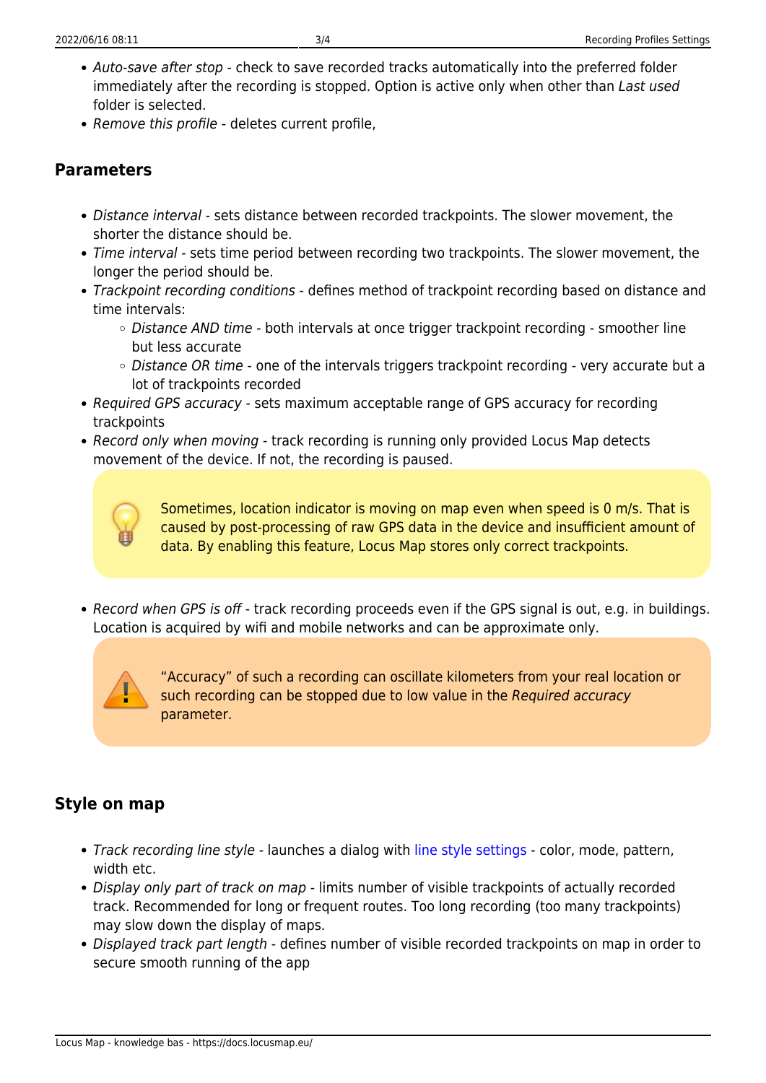- Auto-save after stop check to save recorded tracks automatically into the preferred folder immediately after the recording is stopped. Option is active only when other than Last used folder is selected.
- Remove this profile deletes current profile,

## **Parameters**

- Distance interval sets distance between recorded trackpoints. The slower movement, the shorter the distance should be.
- Time interval sets time period between recording two trackpoints. The slower movement, the longer the period should be.
- Trackpoint recording conditions defines method of trackpoint recording based on distance and time intervals:
	- $\circ$  Distance AND time both intervals at once trigger trackpoint recording smoother line but less accurate
	- Distance OR time one of the intervals triggers trackpoint recording very accurate but a lot of trackpoints recorded
- Required GPS accuracy sets maximum acceptable range of GPS accuracy for recording trackpoints
- Record only when moving track recording is running only provided Locus Map detects movement of the device. If not, the recording is paused.



Sometimes, location indicator is moving on map even when speed is 0 m/s. That is caused by post-processing of raw GPS data in the device and insufficient amount of data. By enabling this feature, Locus Map stores only correct trackpoints.

• Record when GPS is off - track recording proceeds even if the GPS signal is out, e.g. in buildings. Location is acquired by wifi and mobile networks and can be approximate only.



"Accuracy" of such a recording can oscillate kilometers from your real location or such recording can be stopped due to low value in the Required accuracy parameter.

## **Style on map**

- Track recording line style launches a dialog with [line style settings](https://docs.locusmap.eu/doku.php?id=manual:user_guide:tracks:management#track_route_folder_style)  color, mode, pattern, width etc.
- Display only part of track on map limits number of visible trackpoints of actually recorded track. Recommended for long or frequent routes. Too long recording (too many trackpoints) may slow down the display of maps.
- Displayed track part length defines number of visible recorded trackpoints on map in order to secure smooth running of the app